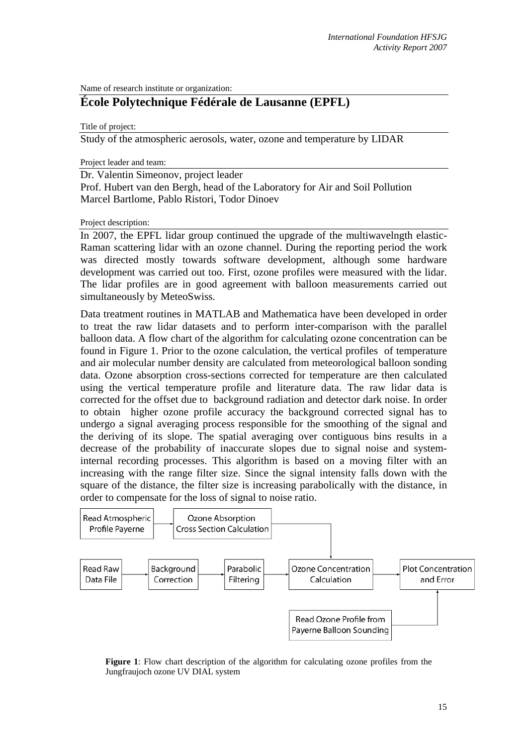Name of research institute or organization:

# **École Polytechnique Fédérale de Lausanne (EPFL)**

Title of project:

Study of the atmospheric aerosols, water, ozone and temperature by LIDAR

Project leader and team:

Dr. Valentin Simeonov, project leader Prof. Hubert van den Bergh, head of the Laboratory for Air and Soil Pollution Marcel Bartlome, Pablo Ristori, Todor Dinoev

Project description:

In 2007, the EPFL lidar group continued the upgrade of the multiwavelngth elastic-Raman scattering lidar with an ozone channel. During the reporting period the work was directed mostly towards software development, although some hardware development was carried out too. First, ozone profiles were measured with the lidar. The lidar profiles are in good agreement with balloon measurements carried out simultaneously by MeteoSwiss.

Data treatment routines in MATLAB and Mathematica have been developed in order to treat the raw lidar datasets and to perform inter-comparison with the parallel balloon data. A flow chart of the algorithm for calculating ozone concentration can be found in Figure 1. Prior to the ozone calculation, the vertical profiles of temperature and air molecular number density are calculated from meteorological balloon sonding data. Ozone absorption cross-sections corrected for temperature are then calculated using the vertical temperature profile and literature data. The raw lidar data is corrected for the offset due to background radiation and detector dark noise. In order to obtain higher ozone profile accuracy the background corrected signal has to undergo a signal averaging process responsible for the smoothing of the signal and the deriving of its slope. The spatial averaging over contiguous bins results in a decrease of the probability of inaccurate slopes due to signal noise and systeminternal recording processes. This algorithm is based on a moving filter with an increasing with the range filter size. Since the signal intensity falls down with the square of the distance, the filter size is increasing parabolically with the distance, in order to compensate for the loss of signal to noise ratio.



**Figure 1**: Flow chart description of the algorithm for calculating ozone profiles from the Jungfraujoch ozone UV DIAL system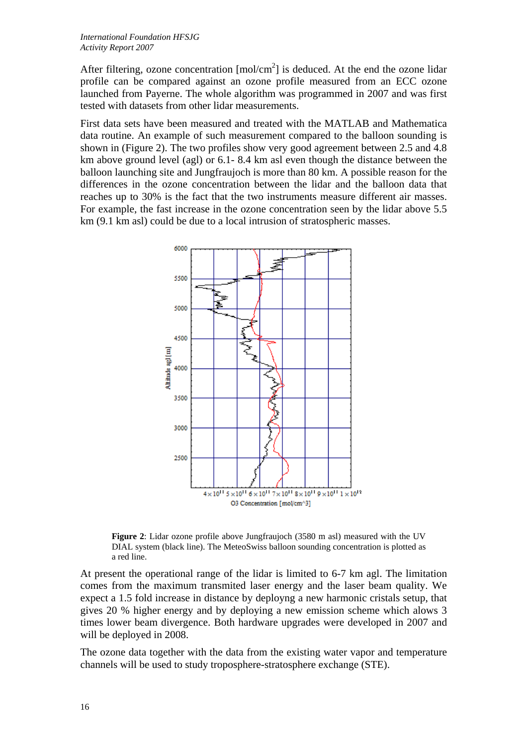After filtering, ozone concentration  $[mol/cm<sup>2</sup>]$  is deduced. At the end the ozone lidar profile can be compared against an ozone profile measured from an ECC ozone launched from Payerne. The whole algorithm was programmed in 2007 and was first tested with datasets from other lidar measurements.

First data sets have been measured and treated with the MATLAB and Mathematica data routine. An example of such measurement compared to the balloon sounding is shown in (Figure 2). The two profiles show very good agreement between 2.5 and 4.8 km above ground level (agl) or 6.1- 8.4 km asl even though the distance between the balloon launching site and Jungfraujoch is more than 80 km. A possible reason for the differences in the ozone concentration between the lidar and the balloon data that reaches up to 30% is the fact that the two instruments measure different air masses. For example, the fast increase in the ozone concentration seen by the lidar above 5.5 km (9.1 km asl) could be due to a local intrusion of stratospheric masses.



**Figure 2**: Lidar ozone profile above Jungfraujoch (3580 m asl) measured with the UV DIAL system (black line). The MeteoSwiss balloon sounding concentration is plotted as a red line.

At present the operational range of the lidar is limited to 6-7 km agl. The limitation comes from the maximum transmited laser energy and the laser beam quality. We expect a 1.5 fold increase in distance by deployng a new harmonic cristals setup, that gives 20 % higher energy and by deploying a new emission scheme which alows 3 times lower beam divergence. Both hardware upgrades were developed in 2007 and will be deployed in 2008.

The ozone data together with the data from the existing water vapor and temperature channels will be used to study troposphere-stratosphere exchange (STE).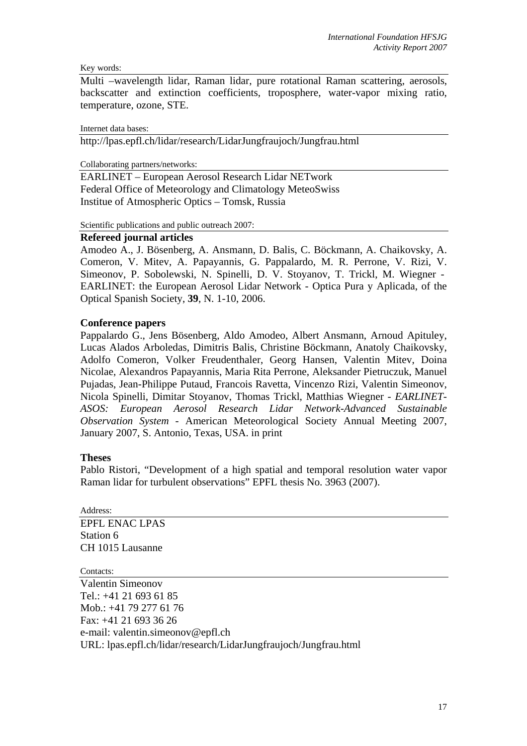#### Key words:

Multi –wavelength lidar, Raman lidar, pure rotational Raman scattering, aerosols, backscatter and extinction coefficients, troposphere, water-vapor mixing ratio, temperature, ozone, STE.

Internet data bases:

http://lpas.epfl.ch/lidar/research/LidarJungfraujoch/Jungfrau.html

Collaborating partners/networks:

EARLINET – European Aerosol Research Lidar NETwork Federal Office of Meteorology and Climatology MeteoSwiss Institue of Atmospheric Optics – Tomsk, Russia

Scientific publications and public outreach 2007:

## **Refereed journal articles**

Amodeo A., J. Bösenberg, A. Ansmann, D. Balis, C. Böckmann, A. Chaikovsky, A. Comeron, V. Mitev, A. Papayannis, G. Pappalardo, M. R. Perrone, V. Rizi, V. Simeonov, P. Sobolewski, N. Spinelli, D. V. Stoyanov, T. Trickl, M. Wiegner - EARLINET: the European Aerosol Lidar Network - Optica Pura y Aplicada, of the Optical Spanish Society, **39**, N. 1-10, 2006.

## **Conference papers**

Pappalardo G., Jens Bösenberg, Aldo Amodeo, Albert Ansmann, Arnoud Apituley, Lucas Alados Arboledas, Dimitris Balis, Christine Böckmann, Anatoly Chaikovsky, Adolfo Comeron, Volker Freudenthaler, Georg Hansen, Valentin Mitev, Doina Nicolae, Alexandros Papayannis, Maria Rita Perrone, Aleksander Pietruczuk, Manuel Pujadas, Jean-Philippe Putaud, Francois Ravetta, Vincenzo Rizi, Valentin Simeonov, Nicola Spinelli, Dimitar Stoyanov, Thomas Trickl, Matthias Wiegner - *EARLINET-ASOS: European Aerosol Research Lidar Network-Advanced Sustainable Observation System* - American Meteorological Society Annual Meeting 2007, January 2007, S. Antonio, Texas, USA. in print

#### **Theses**

Pablo Ristori, "Development of a high spatial and temporal resolution water vapor Raman lidar for turbulent observations" EPFL thesis No. 3963 (2007).

Address: EPFL ENAC LPAS Station 6 CH 1015 Lausanne

Contacts:

Valentin Simeonov Tel.: +41 21 693 61 85 Mob.: +41 79 277 61 76 Fax: +41 21 693 36 26 e-mail: valentin.simeonov@epfl.ch URL: lpas.epfl.ch/lidar/research/LidarJungfraujoch/Jungfrau.html